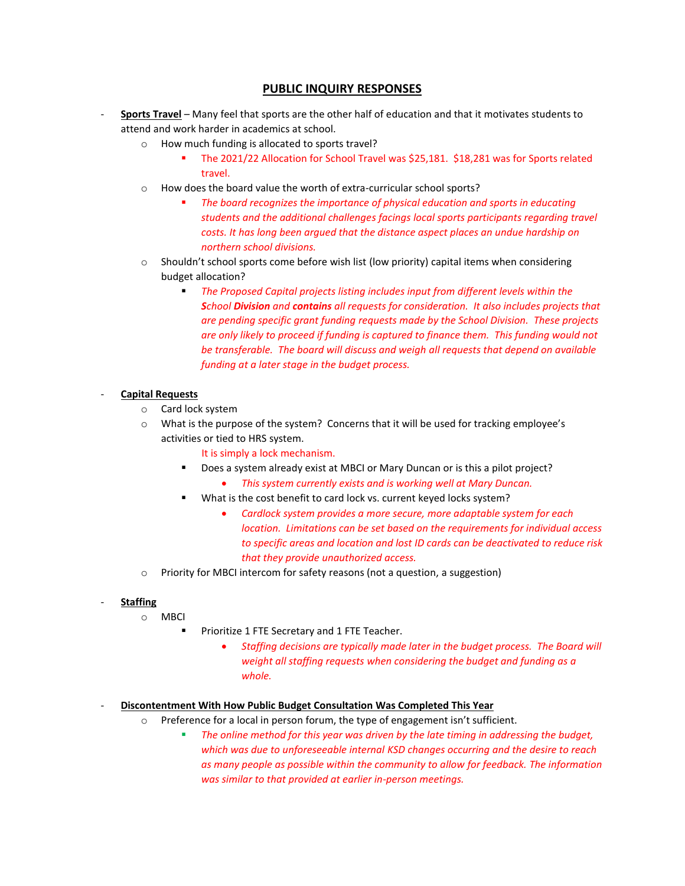## **PUBLIC INQUIRY RESPONSES**

- **Sports Travel** Many feel that sports are the other half of education and that it motivates students to attend and work harder in academics at school.
	- o How much funding is allocated to sports travel?
		- The 2021/22 Allocation for School Travel was \$25,181. \$18,281 was for Sports related travel.
	- o How does the board value the worth of extra-curricular school sports?
		- The board recognizes the importance of physical education and sports in educating *students and the additional challenges facings local sports participants regarding travel costs. It has long been argued that the distance aspect places an undue hardship on northern school divisions.*
	- $\circ$  Shouldn't school sports come before wish list (low priority) capital items when considering budget allocation?
		- *The Proposed Capital projects listing includes input from different levels within the School Division and contains all requests for consideration. It also includes projects that are pending specific grant funding requests made by the School Division. These projects are only likely to proceed if funding is captured to finance them. This funding would not be transferable. The board will discuss and weigh all requests that depend on available funding at a later stage in the budget process.*

## - **Capital Requests**

- o Card lock system
- o What is the purpose of the system? Concerns that it will be used for tracking employee's activities or tied to HRS system.

It is simply a lock mechanism.

- Does a system already exist at MBCI or Mary Duncan or is this a pilot project?
	- *This system currently exists and is working well at Mary Duncan.*
- What is the cost benefit to card lock vs. current keyed locks system?
	- *Cardlock system provides a more secure, more adaptable system for each location. Limitations can be set based on the requirements for individual access to specific areas and location and lost ID cards can be deactivated to reduce risk that they provide unauthorized access.*
- o Priority for MBCI intercom for safety reasons (not a question, a suggestion)

## - **Staffing**

- o MBCI
	- Prioritize 1 FTE Secretary and 1 FTE Teacher.
		- *Staffing decisions are typically made later in the budget process. The Board will weight all staffing requests when considering the budget and funding as a whole.*

## - **Discontentment With How Public Budget Consultation Was Completed This Year**

- $\circ$  Preference for a local in person forum, the type of engagement isn't sufficient.
	- The online method for this year was driven by the late timing in addressing the budget, *which was due to unforeseeable internal KSD changes occurring and the desire to reach as many people as possible within the community to allow for feedback. The information was similar to that provided at earlier in-person meetings.*